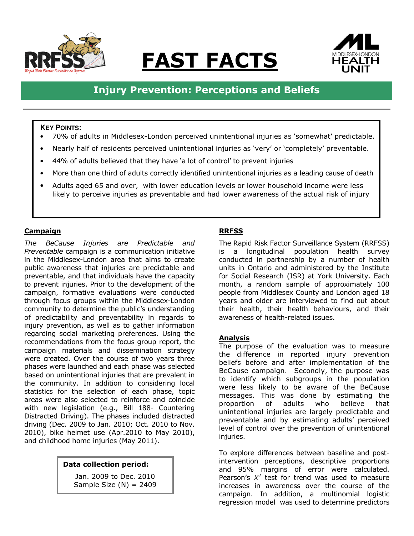

# <u>FAST FACTS</u>



# Injury Prevention: Perceptions and Beliefs

#### **KEY POINTS:**

- 70% of adults in Middlesex-London perceived unintentional injuries as 'somewhat' predictable.
- Nearly half of residents perceived unintentional injuries as 'very' or 'completely' preventable.
- 44% of adults believed that they have 'a lot of control' to prevent injuries
- More than one third of adults correctly identified unintentional injuries as a leading cause of death
- Adults aged 65 and over, with lower education levels or lower household income were less likely to perceive injuries as preventable and had lower awareness of the actual risk of injury

#### **Campaign**

The BeCause Injuries are Predictable and Preventable campaign is a communication initiative in the Middlesex-London area that aims to create public awareness that injuries are predictable and preventable, and that individuals have the capacity to prevent injuries. Prior to the development of the campaign, formative evaluations were conducted through focus groups within the Middlesex-London community to determine the public's understanding of predictability and preventability in regards to injury prevention, as well as to gather information regarding social marketing preferences. Using the recommendations from the focus group report, the campaign materials and dissemination strategy were created. Over the course of two years three phases were launched and each phase was selected based on unintentional injuries that are prevalent in the community. In addition to considering local statistics for the selection of each phase, topic areas were also selected to reinforce and coincide with new legislation (e.g., Bill 188- Countering Distracted Driving). The phases included distracted driving (Dec. 2009 to Jan. 2010; Oct. 2010 to Nov. 2010), bike helmet use (Apr.2010 to May 2010), and childhood home injuries (May 2011).

#### Data collection period:

Jan. 2009 to Dec. 2010 Sample Size  $(N) = 2409$ 

## RRFSS

The Rapid Risk Factor Surveillance System (RRFSS) is a longitudinal population health survey conducted in partnership by a number of health units in Ontario and administered by the Institute for Social Research (ISR) at York University. Each month, a random sample of approximately 100 people from Middlesex County and London aged 18 years and older are interviewed to find out about their health, their health behaviours, and their awareness of health-related issues.

#### Analysis

The purpose of the evaluation was to measure the difference in reported injury prevention beliefs before and after implementation of the BeCause campaign. Secondly, the purpose was to identify which subgroups in the population were less likely to be aware of the BeCause messages. This was done by estimating the proportion of adults who believe that unintentional injuries are largely predictable and preventable and by estimating adults' perceived level of control over the prevention of unintentional iniuries.

To explore differences between baseline and postintervention perceptions, descriptive proportions and 95% margins of error were calculated. Pearson's  $X^2$  test for trend was used to measure increases in awareness over the course of the campaign. In addition, a multinomial logistic regression model was used to determine predictors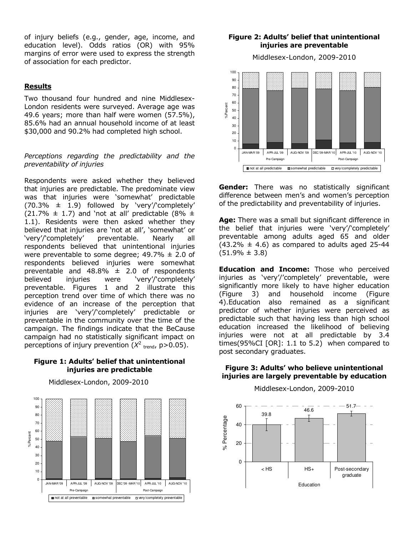of injury beliefs (e.g., gender, age, income, and education level). Odds ratios (OR) with 95% margins of error were used to express the strength of association for each predictor.

#### **Results**

Two thousand four hundred and nine Middlesex-London residents were surveyed. Average age was 49.6 years; more than half were women (57.5%), 85.6% had an annual household income of at least \$30,000 and 90.2% had completed high school.

#### Perceptions regarding the predictability and the preventability of injuries

Respondents were asked whether they believed that injuries are predictable. The predominate view was that injuries were 'somewhat' predictable  $(70.3\% \pm 1.9)$  followed by 'very'/'completely' (21.7%  $\pm$  1.7) and 'not at all' predictable (8%  $\pm$ 1.1). Residents were then asked whether they believed that injuries are 'not at all', 'somewhat' or 'very'/'completely' preventable. Nearly all respondents believed that unintentional injuries were preventable to some degree;  $49.7\% \pm 2.0$  of respondents believed injuries were somewhat preventable and  $48.8\% \pm 2.0$  of respondents believed injuries were 'very'/'completely' preventable. Figures 1 and 2 illustrate this perception trend over time of which there was no evidence of an increase of the perception that injuries are 'very'/'completely' predictable or preventable in the community over the time of the campaign. The findings indicate that the BeCause campaign had no statistically significant impact on perceptions of injury prevention  $(X^2)_{\text{trend}}$ , p>0.05).

#### Figure 1: Adults' belief that unintentional injuries are predictable



#### Middlesex-London, 2009-2010

#### Figure 2: Adults' belief that unintentional injuries are preventable

Middlesex-London, 2009-2010



**Gender:** There was no statistically significant difference between men's and women's perception of the predictability and preventability of injuries.

Age: There was a small but significant difference in the belief that injuries were 'very'/'completely' preventable among adults aged 65 and older  $(43.2\% \pm 4.6)$  as compared to adults aged 25-44  $(51.9\% \pm 3.8)$ 

**Education and Income:** Those who perceived injuries as 'very'/'completely' preventable, were significantly more likely to have higher education (Figure 3) and household income (Figure 4).Education also remained as a significant predictor of whether injuries were perceived as predictable such that having less than high school education increased the likelihood of believing injuries were not at all predictable by 3.4 times(95%CI [OR]: 1.1 to 5.2) when compared to post secondary graduates.

#### Figure 3: Adults' who believe unintentional injuries are largely preventable by education



Middlesex-London, 2009-2010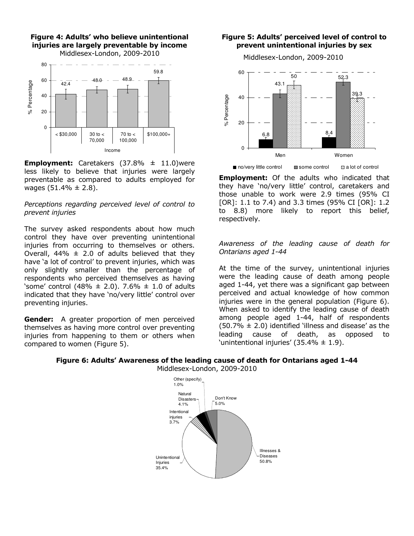

Figure 4: Adults' who believe unintentional

**Employment:** Caretakers  $(37.8\% \pm 11.0)$ were less likely to believe that injuries were largely preventable as compared to adults employed for wages  $(51.4\% \pm 2.8)$ .

Perceptions regarding perceived level of control to prevent injuries

The survey asked respondents about how much control they have over preventing unintentional injuries from occurring to themselves or others. Overall,  $44\% \pm 2.0$  of adults believed that they have 'a lot of control' to prevent injuries, which was only slightly smaller than the percentage of respondents who perceived themselves as having 'some' control (48%  $\pm$  2.0). 7.6%  $\pm$  1.0 of adults indicated that they have 'no/very little' control over preventing injuries.

**Gender:** A greater proportion of men perceived themselves as having more control over preventing injuries from happening to them or others when compared to women (Figure 5).

#### Figure 5: Adults' perceived level of control to prevent unintentional injuries by sex

Middlesex-London, 2009-2010



**Employment:** Of the adults who indicated that they have 'no/very little' control, caretakers and those unable to work were 2.9 times (95% CI [OR]: 1.1 to 7.4) and 3.3 times (95% CI [OR]: 1.2 to 8.8) more likely to report this belief, respectively.

#### Awareness of the leading cause of death for Ontarians aged 1-44

At the time of the survey, unintentional injuries were the leading cause of death among people aged 1-44, yet there was a significant gap between perceived and actual knowledge of how common injuries were in the general population (Figure 6). When asked to identify the leading cause of death among people aged 1-44, half of respondents  $(50.7\% \pm 2.0)$  identified 'illness and disease' as the leading cause of death, as opposed to 'unintentional injuries'  $(35.4\% \pm 1.9)$ .



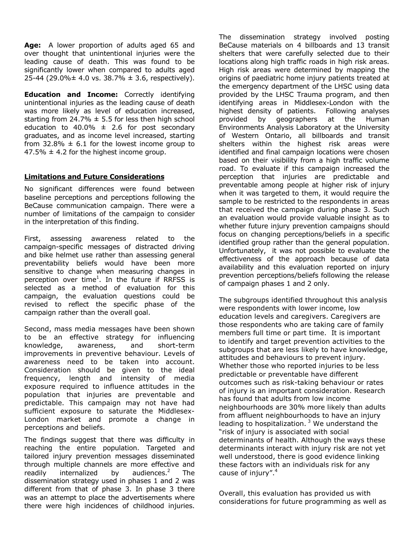Age: A lower proportion of adults aged 65 and over thought that unintentional injuries were the leading cause of death. This was found to be significantly lower when compared to adults aged 25-44 (29.0% $\pm$  4.0 vs. 38.7%  $\pm$  3.6, respectively).

**Education and Income:** Correctly identifying unintentional injuries as the leading cause of death was more likely as level of education increased, starting from 24.7%  $\pm$  5.5 for less then high school education to 40.0%  $\pm$  2.6 for post secondary graduates, and as income level increased, starting from 32.8%  $\pm$  6.1 for the lowest income group to 47.5%  $\pm$  4.2 for the highest income group.

# Limitations and Future Considerations

No significant differences were found between baseline perceptions and perceptions following the BeCause communication campaign. There were a number of limitations of the campaign to consider in the interpretation of this finding.

First, assessing awareness related to the campaign-specific messages of distracted driving and bike helmet use rather than assessing general preventability beliefs would have been more sensitive to change when measuring changes in perception over time<sup>1</sup>. In the future if RRFSS is selected as a method of evaluation for this campaign, the evaluation questions could be revised to reflect the specific phase of the campaign rather than the overall goal.

Second, mass media messages have been shown to be an effective strategy for influencing knowledge, awareness, and short-term improvements in preventive behaviour. Levels of awareness need to be taken into account. Consideration should be given to the ideal frequency, length and intensity of media exposure required to influence attitudes in the population that injuries are preventable and predictable. This campaign may not have had sufficient exposure to saturate the Middlesex-London market and promote a change in perceptions and beliefs.

The findings suggest that there was difficulty in reaching the entire population. Targeted and tailored injury prevention messages disseminated through multiple channels are more effective and readily internalized by audiences. $2$  The dissemination strategy used in phases 1 and 2 was different from that of phase 3. In phase 3 there was an attempt to place the advertisements where there were high incidences of childhood injuries.

The dissemination strategy involved posting BeCause materials on 4 billboards and 13 transit shelters that were carefully selected due to their locations along high traffic roads in high risk areas. High risk areas were determined by mapping the origins of paediatric home injury patients treated at the emergency department of the LHSC using data provided by the LHSC Trauma program, and then identifying areas in Middlesex-London with the highest density of patients. Following analyses provided by geographers at the Human Environments Analysis Laboratory at the University of Western Ontario, all billboards and transit shelters within the highest risk areas were identified and final campaign locations were chosen based on their visibility from a high traffic volume road. To evaluate if this campaign increased the perception that injuries are predictable and preventable among people at higher risk of injury when it was targeted to them, it would require the sample to be restricted to the respondents in areas that received the campaign during phase 3. Such an evaluation would provide valuable insight as to whether future injury prevention campaigns should focus on changing perceptions/beliefs in a specific identified group rather than the general population. Unfortunately, it was not possible to evaluate the effectiveness of the approach because of data availability and this evaluation reported on injury prevention perceptions/beliefs following the release of campaign phases 1 and 2 only.

The subgroups identified throughout this analysis were respondents with lower income, low education levels and caregivers. Caregivers are those respondents who are taking care of family members full time or part time. It is important to identify and target prevention activities to the subgroups that are less likely to have knowledge, attitudes and behaviours to prevent injury. Whether those who reported injuries to be less predictable or preventable have different outcomes such as risk-taking behaviour or rates of injury is an important consideration. Research has found that adults from low income neighbourhoods are 30% more likely than adults from affluent neighbourhoods to have an injury leading to hospitalization.  $3$  We understand the "risk of injury is associated with social determinants of health. Although the ways these determinants interact with injury risk are not yet well understood, there is good evidence linking these factors with an individuals risk for any cause of injury".<sup>4</sup>

Overall, this evaluation has provided us with considerations for future programming as well as